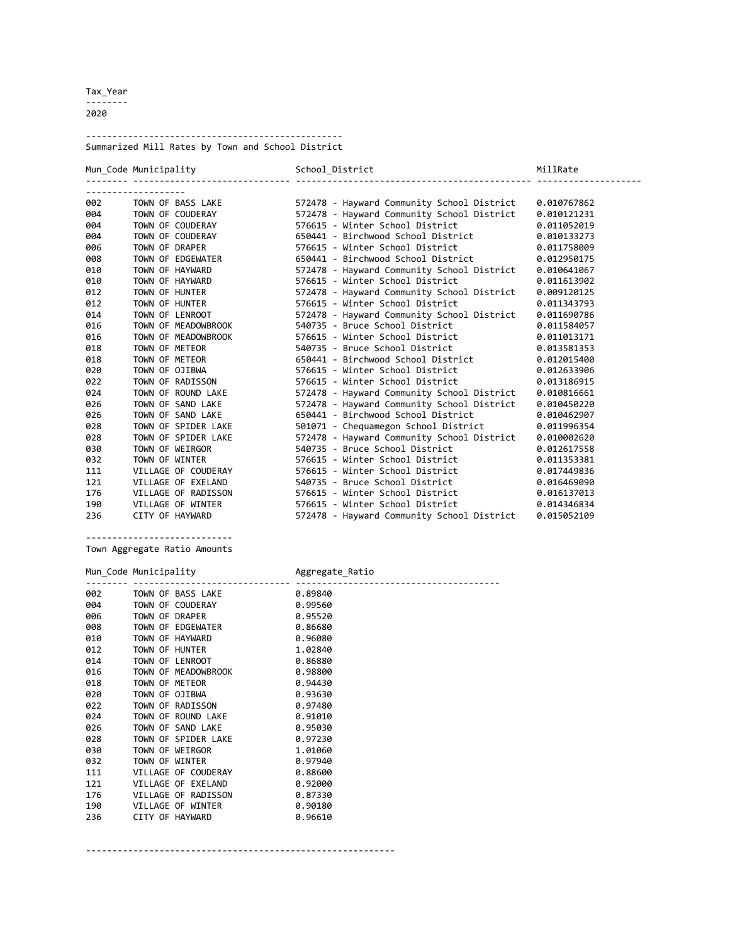Tax\_Year -------- 2020

------------------------------------------------- Summarized Mill Rates by Town and School District

|     | Mun Code Municipality | School District<br>---------------------------         | MillRate    |
|-----|-----------------------|--------------------------------------------------------|-------------|
|     |                       |                                                        |             |
| 002 | TOWN OF BASS LAKE     | 572478 - Hayward Community School District 0.010767862 |             |
| 004 | TOWN OF COUDERAY      | 572478 - Hayward Community School District             | 0.010121231 |
| 004 | TOWN OF COUDERAY      | 576615 - Winter School District                        | 0.011052019 |
| 004 | TOWN OF COUDERAY      | 650441 - Birchwood School District                     | 0.010133273 |
| 006 | TOWN OF DRAPER        | 576615 - Winter School District                        | 0.011758009 |
| 008 | TOWN OF EDGEWATER     | 650441 - Birchwood School District                     | 0.012950175 |
| 010 | TOWN OF HAYWARD       | 572478 - Hayward Community School District             | 0.010641067 |
| 010 | TOWN OF HAYWARD       | 576615 - Winter School District                        | 0.011613902 |
| 012 | TOWN OF HUNTER        | 572478 - Hayward Community School District             | 0.009120125 |
| 012 | TOWN OF HUNTER        | 576615 - Winter School District                        | 0.011343793 |
| 014 | TOWN OF LENROOT       | 572478 - Hayward Community School District             | 0.011690786 |
| 016 | TOWN OF MEADOWBROOK   | 540735 - Bruce School District                         | 0.011584057 |
| 016 | TOWN OF MEADOWBROOK   | 576615 - Winter School District                        | 0.011013171 |
| 018 | TOWN OF METEOR        | 540735 - Bruce School District                         | 0.013581353 |
| 018 | TOWN OF METEOR        | 650441 - Birchwood School District                     | 0.012015400 |
| 020 | TOWN OF OJIBWA        | 576615 - Winter School District                        | 0.012633906 |
| 022 | TOWN OF RADISSON      | 576615 - Winter School District                        | 0.013186915 |
| 024 | TOWN OF ROUND LAKE    | 572478 - Hayward Community School District             | 0.010816661 |
| 026 | TOWN OF SAND LAKE     | 572478 - Hayward Community School District             | 0.010450220 |
| 026 | TOWN OF SAND LAKE     | 650441 - Birchwood School District                     | 0.010462907 |
| 028 | TOWN OF SPIDER LAKE   | 501071 - Chequamegon School District                   | 0.011996354 |
| 028 | TOWN OF SPIDER LAKE   | 572478 - Hayward Community School District             | 0.010002620 |
| 030 | TOWN OF WEIRGOR       | 540735 - Bruce School District                         | 0.012617558 |
| 032 | TOWN OF WINTER        | 576615 - Winter School District                        | 0.011353381 |
| 111 | VILLAGE OF COUDERAY   | 576615 - Winter School District                        | 0.017449836 |
| 121 | VILLAGE OF EXELAND    | 540735 - Bruce School District                         | 0.016469090 |
| 176 | VILLAGE OF RADISSON   | 576615 - Winter School District                        | 0.016137013 |
| 190 | VILLAGE OF WINTER     | 576615 - Winter School District                        | 0.014346834 |
| 236 | CITY OF HAYWARD       | 572478 - Hayward Community School District 0.015052109 |             |

----------------------------

Town Aggregate Ratio Amounts

Mun\_Code Municipality **Aggregate\_Ratio** 

-------- ------------------------------ --------------------------------------- 002 TOWN OF BASS LAKE 0.89840 004 TOWN OF COUDERAY 0.99560 006 TOWN OF DRAPER 0.95520 008 TOWN OF EDGEWATER 0.86680 010 TOWN OF HAYWARD **0.96080** 012 TOWN OF HUNTER 1.02840 014 TOWN OF LENROOT 0.86880 016 TOWN OF MEADOWBROOK 0.98800 018 TOWN OF METEOR **0.94430** 020 TOWN OF OJIBWA 0.93630 022 TOWN OF RADISSON 0.97480 024 TOWN OF ROUND LAKE 0.91010 026 TOWN OF SAND LAKE 0.95030 028 TOWN OF SPIDER LAKE 0.97230 030 TOWN OF WEIRGOR 1.01060<br>032 TOWN OF WINTER 0.97940 032 TOWN OF WINTER<br>111 VILLAGE OF COUDE 111 VILLAGE OF COUDERAY 0.88600 121 VILLAGE OF EXELAND 0.92000 176 VILLAGE OF RADISSON 0.87330 190 VILLAGE OF WINTER 0.90180 CITY OF HAYWARD

-----------------------------------------------------------